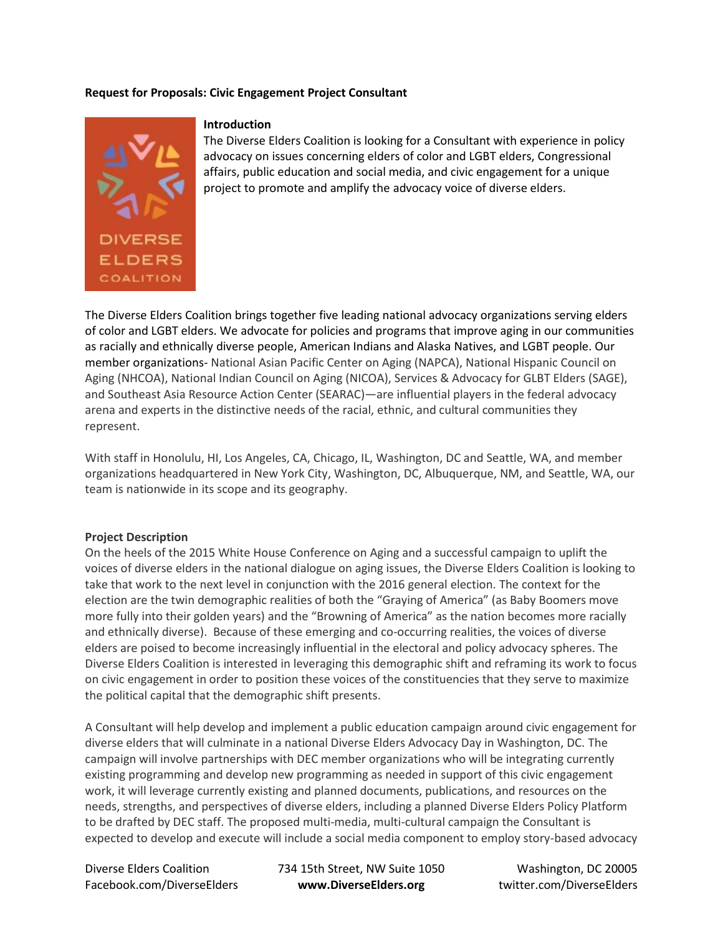### **Request for Proposals: Civic Engagement Project Consultant**



#### **Introduction**

The Diverse Elders Coalition is looking for a Consultant with experience in policy advocacy on issues concerning elders of color and LGBT elders, Congressional affairs, public education and social media, and civic engagement for a unique project to promote and amplify the advocacy voice of diverse elders.

The Diverse Elders Coalition brings together five leading national advocacy organizations serving elders of color and LGBT elders. We advocate for policies and programs that improve aging in our communities as racially and ethnically diverse people, American Indians and Alaska Natives, and LGBT people. Our member organizations- National Asian Pacific Center on Aging (NAPCA), National Hispanic Council on Aging (NHCOA), National Indian Council on Aging (NICOA), Services & Advocacy for GLBT Elders (SAGE), and Southeast Asia Resource Action Center (SEARAC)—are influential players in the federal advocacy arena and experts in the distinctive needs of the racial, ethnic, and cultural communities they represent.

With staff in Honolulu, HI, Los Angeles, CA, Chicago, IL, Washington, DC and Seattle, WA, and member organizations headquartered in New York City, Washington, DC, Albuquerque, NM, and Seattle, WA, our team is nationwide in its scope and its geography.

#### **Project Description**

On the heels of the 2015 White House Conference on Aging and a successful campaign to uplift the voices of diverse elders in the national dialogue on aging issues, the Diverse Elders Coalition is looking to take that work to the next level in conjunction with the 2016 general election. The context for the election are the twin demographic realities of both the "Graying of America" (as Baby Boomers move more fully into their golden years) and the "Browning of America" as the nation becomes more racially and ethnically diverse). Because of these emerging and co-occurring realities, the voices of diverse elders are poised to become increasingly influential in the electoral and policy advocacy spheres. The Diverse Elders Coalition is interested in leveraging this demographic shift and reframing its work to focus on civic engagement in order to position these voices of the constituencies that they serve to maximize the political capital that the demographic shift presents.

A Consultant will help develop and implement a public education campaign around civic engagement for diverse elders that will culminate in a national Diverse Elders Advocacy Day in Washington, DC. The campaign will involve partnerships with DEC member organizations who will be integrating currently existing programming and develop new programming as needed in support of this civic engagement work, it will leverage currently existing and planned documents, publications, and resources on the needs, strengths, and perspectives of diverse elders, including a planned Diverse Elders Policy Platform to be drafted by DEC staff. The proposed multi-media, multi-cultural campaign the Consultant is expected to develop and execute will include a social media component to employ story-based advocacy

Diverse Elders Coalition 734 15th Street, NW Suite 1050 Washington, DC 20005 Facebook.com/DiverseElders **www.DiverseElders.org** twitter.com/DiverseElders